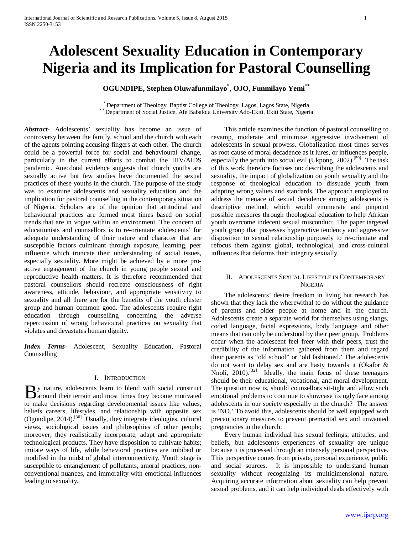# **Adolescent Sexuality Education in Contemporary Nigeria and its Implication for Pastoral Counselling**

# **OGUNDIPE, Stephen Oluwafunmilayo\* , OJO, Funmilayo Yemi\*\***

 $^*$  Department of Theology, Baptist College of Theology, Lagos, Lagos State, Nigeria<br> $^*$  Department of Social Justice, Afe Babalola University Ado-Ekiti, Ekiti State, Nigeria

*Abstract***-** Adolescents' sexuality has become an issue of controversy between the family, school and the church with each of the agents pointing accusing fingers at each other. The church could be a powerful force for social and behavioural change, particularly in the current efforts to combat the HIV/AIDS pandemic. Anecdotal evidence suggests that church youths are sexually active but few studies have documented the sexual practices of these youths in the church. The purpose of the study was to examine adolescents and sexuality education and the implication for pastoral counselling in the contemporary situation of Nigeria. Scholars are of the opinion that attitudinal and behavioural practices are formed most times based on social trends that are in vogue within an environment. The concern of educationists and counsellors is to re-orientate adolescents' for adequate understanding of their nature and character that are susceptible factors culminant through exposure, learning, peer influence which truncate their understanding of social issues, especially sexuality. More might be achieved by a more proactive engagement of the church in young people sexual and reproductive health matters. It is therefore recommended that pastoral counsellors should recreate consciousness of right awareness, attitude, behaviour, and appropriate sensitivity to sexuality and all there are for the benefits of the youth cluster group and human common good. The adolescents require right education through counselling concerning the adverse repercussion of wrong behavioural practices on sexuality that violates and devastates human dignity.

*Index Terms*- Adolescent, Sexuality Education, Pastoral Counselling

# I. INTRODUCTION

y nature, adolescents learn to blend with social construct By nature, adolescents learn to blend with social construct<br>around their terrain and most times they become motivated<br>the model is developed to the planet to make decisions regarding developmental issues like values, beliefs careers, lifestyles, and relationship with opposite sex  $(Q$ gundipe, 2014).<sup>[30]</sup> Usually, they integrate ideologies, cultural views, sociological issues and philosophies of other people; moreover, they realistically incorporate, adapt and appropriate technological products. They have disposition to cultivate habits; imitate ways of life, while behavioral practices are imbibed or modified in the midst of global interconnectivity. Youth stage is susceptible to entanglement of pollutants, amoral practices, nonconventional nuances, and immorality with emotional influences leading to sexuality.

 This article examines the function of pastoral counselling to revamp, moderate and minimize aggressive involvement of adolescents in sexual prowess. Globalization most times serves as root cause of moral decadence as it lures, or influences people, especially the youth into social evil (Ukpong, 2002).<sup>[50]</sup> The task of this work therefore focuses on: describing the adolescents and sexuality, the impact of globalization on youth sexuality and the response of theological education to dissuade youth from adapting wrong values and standards. The approach employed to address the menace of sexual decadence among adolescents is descriptive method, which would enumerate and pinpoint possible measures through theological education to help African youth overcome indecent sexual misconduct. The paper targeted youth group that possesses hyperactive tendency and aggressive disposition to sexual relationship purposely to re-orientate and refocus them against global, technological, and cross-cultural influences that deforms their integrity sexually.

# II. ADOLESCENTS SEXUAL LIFESTYLE IN CONTEMPORARY **NIGERIA**

 The adolescents' desire freedom in living but research has shown that they lack the wherewithal to do without the guidance of parents and older people at home and in the church. Adolescents create a separate world for themselves using slangs, coded language, facial expressions, body language and other means that can only be understood by their peer group. Problems occur when the adolescent feel freer with their peers, trust the credibility of the information gathered from them and regard their parents as "old school" or 'old fashioned.' The adolescents do not want to delay sex and are hasty towards it (Okafor & Nnoli, 2010).<sup>[32]</sup> Ideally, the main focus of these teenagers should be their educational, vocational, and moral development. The question now is, should counsellors sit-tight and allow such emotional problems to continue to showcase its ugly face among adolescents in our society especially in the church? The answer is 'NO.' To avoid this, adolescents should be well equipped with precautionary measures to prevent premarital sex and unwanted pregnancies in the church.

 Every human individual has sexual feelings; attitudes, and beliefs, but adolescents experiences of sexuality are unique because it is processed through an intensely personal perspective. This perspective comes from private, personal experience, public and social sources. It is impossible to understand human sexuality without recognizing its multidimensional nature. Acquiring accurate information about sexuality can help prevent sexual problems, and it can help individual deals effectively with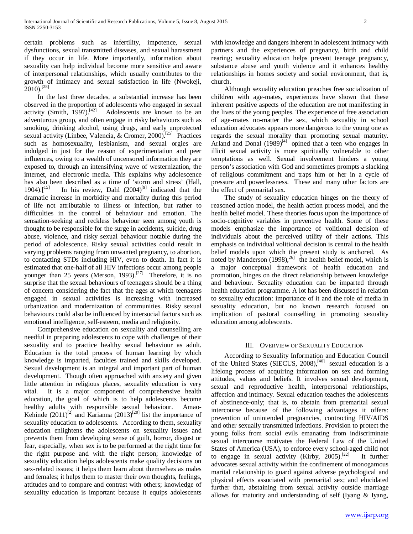certain problems such as infertility, impotence, sexual dysfunctions, sexual transmitted diseases, and sexual harassment if they occur in life. More importantly, information about sexuality can help individual become more sensitive and aware of interpersonal relationships, which usually contributes to the growth of intimacy and sexual satisfaction in life (Nwokeji, 2010).[28]

 In the last three decades, a substantial increase has been observed in the proportion of adolescents who engaged in sexual activity (Smith,  $1997$ ).<sup>[42]</sup> Adolescents are known to be an Adolescents are known to be an adventurous group, and often engage in risky behaviours such as smoking, drinking alcohol, using drugs, and early unprotected sexual activity (Linbee, Valencia, & Cromer, 2000).<sup>[25]</sup> Practices such as homosexuality, lesbianism, and sexual orgies are indulged in just for the reason of experimentation and peer influences, owing to a wealth of uncensored information they are exposed to, through an intensifying wave of westernization, the internet, and electronic media. This explains why adolescence has also been described as a time of 'storm and stress' (Hall, 1904).<sup>[15]</sup> In his review, Dahl  $(2004)^{[9]}$  indicated that the In his review, Dahl  $(2004)^{[9]}$  indicated that the dramatic increase in morbidity and mortality during this period of life not attributable to illness or infection, but rather to difficulties in the control of behaviour and emotion. The sensation-seeking and reckless behaviour seen among youth is thought to be responsible for the surge in accidents, suicide, drug abuse, violence, and risky sexual behaviour notable during the period of adolescence. Risky sexual activities could result in varying problems ranging from unwanted pregnancy, to abortion, to contacting STDs including HIV, even to death. In fact it is estimated that one-half of all HIV infections occur among people younger than 25 years (Merson, 1993).<sup>[27]</sup> Therefore, it is no surprise that the sexual behaviours of teenagers should be a thing of concern considering the fact that the ages at which teenagers engaged in sexual activities is increasing with increased urbanization and modernization of communities. Risky sexual behaviours could also be influenced by intersocial factors such as emotional intelligence, self-esteem, media and religiosity.

 Comprehensive education on sexuality and counselling are needful in preparing adolescents to cope with challenges of their sexuality and to practice healthy sexual behaviour as adult. Education is the total process of human learning by which knowledge is imparted, faculties trained and skills developed. Sexual development is an integral and important part of human development. Though often approached with anxiety and given little attention in religious places, sexuality education is very vital. It is a major component of comprehensive health education, the goal of which is to help adolescents become healthy adults with responsible sexual behaviour. Amao-Kehinde  $(2011)^{[2]}$  and Karianna  $(2013)^{[20]}$  list the importance of sexuality education to adolescents. According to them, sexuality education enlightens the adolescents on sexuality issues and prevents them from developing sense of guilt, horror, disgust or fear, especially, when sex is to be performed at the right time for the right purpose and with the right person; knowledge of sexuality education helps adolescents make quality decisions on sex-related issues; it helps them learn about themselves as males and females; it helps them to master their own thoughts, feelings, attitudes and to compare and contrast with others; knowledge of sexuality education is important because it equips adolescents with knowledge and dangers inherent in adolescent intimacy with partners and the experiences of pregnancy, birth and child rearing; sexuality education helps prevent teenage pregnancy, substance abuse and youth violence and it enhances healthy relationships in homes society and social environment, that is, church.

 Although sexuality education preaches free socialization of children with age-mates, experiences have shown that these inherent positive aspects of the education are not manifesting in the lives of the young peoples. The experience of free association of age-mates no-matter the sex, which sexuality in school education advocates appears more dangerous to the young one as regards the sexual morality than promoting sexual maturity. Arland and Donal  $(1989)^{[4]}$  opined that a teen who engages in illicit sexual activity is more spiritually vulnerable to other temptations as well. Sexual involvement hinders a young person's association with God and sometimes prompts a slacking of religious commitment and traps him or her in a cycle of pressure and powerlessness. These and many other factors are the effect of premarital sex.

 The study of sexuality education hinges on the theory of reasoned action model, the health action process model, and the health belief model. These theories focus upon the importance of socio-cognitive variables in preventive health. Some of these models emphasize the importance of volitional decision of individuals about the perceived utility of their actions. This emphasis on individual volitional decision is central to the health belief models upon which the present study is anchored. As noted by Manderson  $(1998)$ ,<sup>26]</sup> the health belief model, which is a major conceptual framework of health education and promotion, hinges on the direct relationship between knowledge and behaviour. Sexuality education can be imparted through health education programme. A lot has been discussed in relation to sexuality education: importance of it and the role of media in sexuality education, but no known research focused on implication of pastoral counselling in promoting sexuality education among adolescents.

# III. OVERVIEW OF SEXUALITY EDUCATION

 According to Sexuality Information and Education Council of the United States (SIECUS, 2008),<sup>[40]</sup> sexual education is a lifelong process of acquiring information on sex and forming attitudes, values and beliefs. It involves sexual development, sexual and reproductive health, interpersonal relationships, affection and intimacy. Sexual education teaches the adolescents of abstinence-only; that is, to abstain from premarital sexual intercourse because of the following advantages it offers: prevention of unintended pregnancies, contracting HIV/AIDS and other sexually transmitted infections. Provision to protect the young folks from social evils emanating from indiscriminate sexual intercourse motivates the Federal Law of the United States of America (USA), to enforce every school-aged child not to engage in sexual activity (Kirby,  $2005$ ).<sup>[22]</sup> It further advocates sexual activity within the confinement of monogamous marital relationship to guard against adverse psychological and physical effects associated with premarital sex; and elucidated further that, abstaining from sexual activity outside marriage allows for maturity and understanding of self (Iyang & Iyang,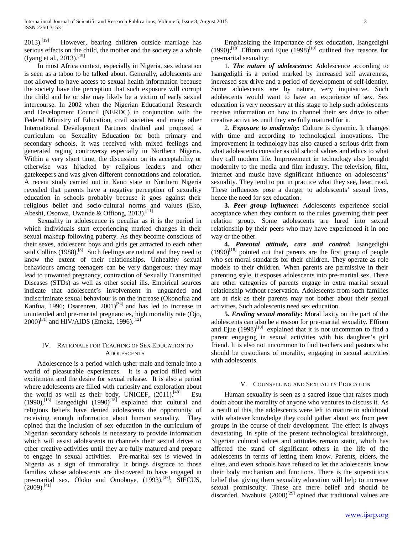2013).<sup>[19]</sup> However, bearing children outside marriage has serious effects on the child, the mother and the society as a whole (Iyang et al., 2013).<sup>[19]</sup>

 In most Africa context, especially in Nigeria, sex education is seen as a taboo to be talked about. Generally, adolescents are not allowed to have access to sexual health information because the society have the perception that such exposure will corrupt the child and he or she may likely be a victim of early sexual intercourse. In 2002 when the Nigerian Educational Research and Development Council (NERDC) in conjunction with the Federal Ministry of Education, civil societies and many other International Development Partners drafted and proposed a curriculum on Sexuality Education for both primary and secondary schools, it was received with mixed feelings and generated raging controversy especially in Northern Nigeria. Within a very short time, the discussion on its acceptability or otherwise was hijacked by religious leaders and other gatekeepers and was given different connotations and coloration. A recent study carried out in Kano state in Northern Nigeria revealed that parents have a negative perception of sexuality education in schools probably because it goes against their religious belief and socio-cultural norms and values (Eko, Abeshi, Osonwa, Uwande & Offiong, 2013).<sup>[11]</sup>

 Sexuality in adolescence is peculiar as it is the period in which individuals start experiencing marked changes in their sexual makeup following puberty. As they become conscious of their sexes, adolescent boys and girls get attracted to each other said Collins  $(1988)$ .<sup>[8]</sup> Such feelings are natural and they need to know the extent of their relationships. Unhealthy sexual behaviours among teenagers can be very dangerous; they may lead to unwanted pregnancy, contraction of Sexually Transmitted Diseases (STDs) as well as other social ills. Empirical sources indicate that adolescent's involvement in unguarded and indiscriminate sexual behaviour is on the increase (Okonofua and Kanfua, 1996; Osarenren,  $2001$ <sup>[34]</sup> and has led to increase in unintended and pre-marital pregnancies, high mortality rate (Ojo,  $(2000)^{[31]}$  and HIV/AIDS (Emeka, 1996).<sup>[12]</sup>

# IV. RATIONALE FOR TEACHING OF SEX EDUCATION TO **ADOLESCENTS**

 Adolescence is a period which usher male and female into a world of pleasurable experiences. It is a period filled with excitement and the desire for sexual release. It is also a period where adolescents are filled with curiosity and exploration about the world as well as their body, UNICEF,  $(2011)^{[49]}$  Esu  $(1990)$ ,<sup>[13]</sup> Isangedighi  $(1990)$ <sup>[18]</sup> explained that cultural and religious beliefs have denied adolescents the opportunity of receiving enough information about human sexuality. They opined that the inclusion of sex education in the curriculum of Nigerian secondary schools is necessary to provide information which will assist adolescents to channels their sexual drives to other creative activities until they are fully matured and prepare to engage in sexual activities. Pre-marital sex is viewed in Nigeria as a sign of immorality. It brings disgrace to those families whose adolescents are discovered to have engaged in pre-marital sex, Oloko and Omoboye, (1993),<sup>[37]</sup>; SIECUS,  $(2009)$ <sup>[41]</sup>

 Emphasizing the importance of sex education, Isangedighi (1990);<sup>[18]</sup> Effiom and Ejue (1998)<sup>[10]</sup> outlined five reasons for pre-marital sexuality:

 1. *The nature of adolescence*: Adolescence according to Isangedighi is a period marked by increased self awareness, increased sex drive and a period of development of self-identity. Some adolescents are by nature, very inquisitive. Such adolescents would want to have an experience of sex. Sex education is very necessary at this stage to help such adolescents receive information on how to channel their sex drive to other creative activities until they are fully matured for it.

 2. *Exposure to modernity***:** Culture is dynamic. It changes with time and according to technological innovations. The improvement in technology has also caused a serious drift from what adolescents consider as old school values and ethics to what they call modern life. Improvement in technology also brought modernity to the media and film industry. The television, film, internet and music have significant influence on adolescents' sexuality. They tend to put in practice what they see, hear, read. These influences pose a danger to adolescents' sexual lives, hence the need for sex education.

 **3.** *Peer group influence***:** Adolescents experience social acceptance when they conform to the rules governing their peer relation group. Some adolescents are lured into sexual relationship by their peers who may have experienced it in one way or the other.

 **4.** *Parental attitude, care and control***:** Isangedighi  $(1990)^{[18]}$  pointed out that parents are the first group of people who set moral standards for their children. They operate as role models to their children. When parents are permissive in their parenting style, it exposes adolescents into pre-marital sex. There are other categories of parents engage in extra marital sexual relationship without reservation. Adolescents from such families are at risk as their parents may not bother about their sexual activities. Such adolescents need sex education.

 **5.** *Eroding sexual morality***:** Moral laxity on the part of the adolescents can also be a reason for pre-marital sexuality. Effiom and Ejue  $(1998)^{[10]}$  explained that it is not uncommon to find a parent engaging in sexual activities with his daughter's girl friend. It is also not uncommon to find teachers and pastors who should be custodians of morality, engaging in sexual activities with adolescents.

# V. COUNSELLING AND SEXUALITY EDUCATION

 Human sexuality is seen as a sacred issue that raises much doubt about the morality of anyone who ventures to discuss it. As a result of this, the adolescents were left to mature to adulthood with whatever knowledge they could gather about sex from peer groups in the course of their development. The effect is always devastating. In spite of the present technological breakthrough, Nigerian cultural values and attitudes remain static, which has affected the stand of significant others in the life of the adolescents in terms of letting them know. Parents, elders, the elites, and even schools have refused to let the adolescents know their body mechanism and functions. There is the superstitious belief that giving them sexuality education will help to increase sexual promiscuity. These are mere belief and should be discarded. Nwabuisi  $(2000)^{[29]}$  opined that traditional values are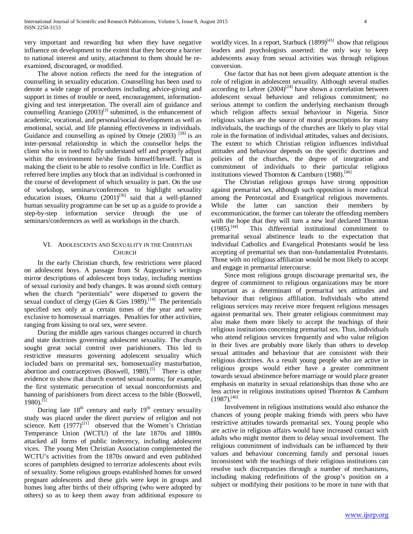very important and rewarding but when they have negative influence on development to the extent that they become a barrier to national interest and unity, attachment to them should be reexamined, discouraged, or modified.

 The above notion reflects the need for the integration of counselling in sexuality education. Counselling has been used to denote a wide range of procedures including advice-giving and support in times of trouble or need, encouragement, informationgiving and test interpretation. The overall aim of guidance and counselling Araniego  $(2003)^{[3]}$  submitted, is the enhancement of academic, vocational, and personal/social development as well as emotional, social, and life planning effectiveness in individuals. Guidance and counselling as opined by Omeje  $(2003)$  <sup>[38]</sup> is an inter-personal relationship in which the counsellor helps the client who is in need to fully understand self and properly adjust within the environment he/she finds himself/herself. That is making the client to be able to resolve conflict in life. Conflict as referred here implies any block that an individual is confronted in the course of development of which sexuality is part. On the use of workshop, seminars/conferences to highlight sexuality education issues, Okumu  $(2001)^{[36]}$  said that a well-planned human sexuality programme can be set up as a guide to provide a step-by-step information service through the use of seminars/conferences as well as workshops in the church.

# VI. ADOLESCENTS AND SEXUALITY IN THE CHRISTIAN **CHURCH**

 In the early Christian church, few restrictions were placed on adolescent boys. A passage from St Augustine's writings mirror descriptions of adolescent boys today, including mention of sexual curiosity and body changes. It was around sixth century when the church "peritentials" were dispersed to govern the sexual conduct of clergy (Gies & Gies 1989).<sup>[14]</sup> The peritentials specified sex only at a certain times of the year and were exclusive to homosexual marriages. Penalties for other activities, ranging from kissing to oral sex, were severe.

 During the middle ages various changes occurred in church and state doctrines governing adolescent sexuality. The church sought great social control over parishioners. This led to restrictive measures governing adolescent sexuality which included bans on premarital sex, homosexuality masturbation, abortion and contraceptives (Boswell, 1980).<sup>[5]</sup> There is other evidence to show that church exerted sexual norms; for example, the first systematic persecution of sexual nonconformists and banning of parishioners from direct access to the bible (Boswell,  $1980$ ).<sup>[5]</sup>

During late  $18<sup>th</sup>$  century and early  $19<sup>th</sup>$  century sexuality study was placed under the direct purview of religion and not science. Kett  $(1977)^{[21]}$  observed that the Women's Christian Temperance Union (WCTU) of the late 1870s and 1880s attacked all forms of public indecency, including adolescent vices. The young Men Christian Association complemented the WCTU's activities from the 1870s onward and even published scores of pamphlets designed to terrorize adolescents about evils of sexuality. Some religious groups established homes for unwed pregnant adolescents and these girls were kept in groups and homes long after births of their offspring (who were adopted by others) so as to keep them away from additional exposure to worldly vices. In a report, Starbuck  $(1899)^{[43]}$  show that religious leaders and psychologists asserted: the only way to keep adolescents away from sexual activities was through religious conversion.

 One factor that has not been given adequate attention is the role of religion in adolescent sexuality. Although several studies  $\arctan$  according to Lehrer  $(2004)^{[24]}$  have shown a correlation between adolescent sexual behaviour and religious commitment; no serious attempt to confirm the underlying mechanism through which religion affects sexual behaviour in Nigeria. Since religious values are the source of moral proscriptions for many individuals, the teachings of the churches are likely to play vital role in the formation of individual attitudes, values and decisions. The extent to which Christian religion influences individual attitudes and behaviour depends on the specific doctrines and policies of the churches, the degree of integration and commitment of individuals to their particular religious institutions viewed Thornton & Camburn (1988).<sup>[46]</sup>

 The Christian religious groups have strong opposition against premarital sex, although such opposition is more radical among the Pentecostal and Evangelical religious movements. While the latter can sanction their members by excommunication, the former can tolerate the offending members with the hope that they will turn a new leaf declared Thornton  $(1985)$ .<sup>[44]</sup> This differential institutional commitment to This differential institutional commitment to premarital sexual abstinence leads to the expectation that individual Catholics and Evangelical Protestants would be less accepting of premarital sex than non-fundamentalist Protestants. Those with no religious affiliation would be most likely to accept and engage in premarital intercourse.

 Since most religious groups discourage premarital sex, the degree of commitment to religious organizations may be more important as a determinant of premarital sex attitudes and behaviour than religious affiliation. Individuals who attend religious services may receive more frequent religious messages against premarital sex. Their greater religious commitment may also make them more likely to accept the teachings of their religious institutions concerning premarital sex. Thus, individuals who attend religious services frequently and who value religion in their lives are probably more likely than others to develop sexual attitudes and behaviour that are consistent with their religious doctrines. As a result young people who are active in religious groups would either have a greater commitment towards sexual abstinence before marriage or would place greater emphasis on maturity in sexual relationships than those who are less active in religious institutions opined Thornton & Camburn  $(1987).$ <sup>[46]</sup>

 Involvement in religious institutions would also enhance the chances of young people making friends with peers who have restrictive attitudes towards premarital sex. Young people who are active in religious affairs would have increased contact with adults who might mentor them to delay sexual involvement. The religious commitment of individuals can be influenced by their values and behaviour concerning family and personal issues inconsistent with the teachings of their religious institutions can resolve such discrepancies through a number of mechanisms, including making redefinitions of the group's position on a subject or modifying their positions to be more in tune with that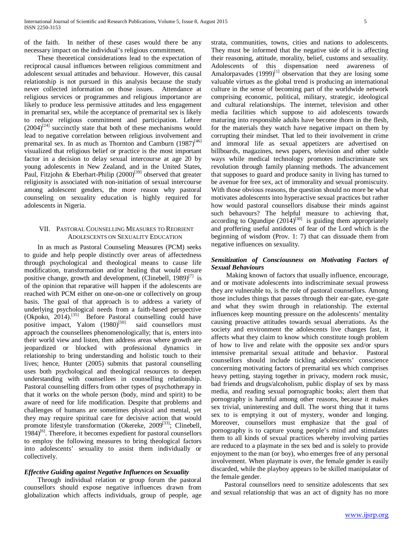of the faith. In neither of these cases would there be any necessary impact on the individual's religious commitment.

 These theoretical considerations lead to the expectation of reciprocal causal influences between religious commitment and adolescent sexual attitudes and behaviour. However, this causal relationship is not pursued in this analysis because the study never collected information on those issues. Attendance at religious services or programmes and religious importance are likely to produce less permissive attitudes and less engagement in premarital sex, while the acceptance of premarital sex is likely to reduce religious commitment and participation. Lehrer  $(2004)^{[24]}$  succinctly state that both of these mechanisms would lead to negative correlation between religious involvement and premarital sex. In as much as Thornton and Camburn  $(1987)^{46}$ visualized that religious belief or practice is the most important factor in a decision to delay sexual intercourse at age 20 by young adolescents in New Zealand, and in the United States, Paul, Fitzjohn & Eberhart-Philip  $(2000)^{[39]}$  observed that greater religiosity is associated with non-initiation of sexual intercourse among adolescent genders, the more reason why pastoral counseling on sexuality education is highly required for adolescents in Nigeria.

# VII. PASTORAL COUNSELLING MEASURES TO REORIENT ADOLESCENTS ON SEXUALITY EDUCATION

 In as much as Pastoral Counseling Measures (PCM) seeks to guide and help people distinctly over areas of affectedness through psychological and theological means to cause life modification, transformation and/or healing that would ensure positive change, growth and development, (Clinebell,  $1989$ )<sup>[7]</sup> is of the opinion that reparative will happen if the adolescents are reached with PCM either on one-on-one or collectively on group basis. The goal of that approach is to address a variety of underlying psychological needs from a faith-based perspective  $(Okpoko, 2014).$ <sup>[35]</sup> Before Pastoral counselling could have positive impact, Yalom (1980)<sup>[50]</sup> said counsellors must approach the counsellees phenomenologically; that is, enters into their world view and listen, then address areas where growth are jeopardized or blocked with professional dynamics in relationship to bring understanding and holistic touch to their lives; hence, Hunter (2005) submits that pastoral counselling uses both psychological and theological resources to deepen understanding with counsellees in counselling relationship. Pastoral counselling differs from other types of psychotherapy in that it works on the whole person (body, mind and spirit) to be aware of need for life modification. Despite that problems and challenges of humans are sometimes physical and mental, yet they may require spiritual care for decisive action that would promote lifestyle transformation (Okereke,  $2009^{[33]}$ ; Clinebell,  $1984$ <sup>[6]</sup>. Therefore, it becomes expedient for pastoral counsellors to employ the following measures to bring theological factors into adolescents' sexuality to assist them individually or collectively.

# *Effective Guiding against Negative Influences on Sexuality*

 Through individual relation or group forum the pastoral counsellors should expose negative influences drawn from globalization which affects individuals, group of people, age strata, communities, towns, cities and nations to adolescents. They must be informed that the negative side of it is affecting their reasoning, attitude, morality, belief, customs and sexuality. Adolescents of this dispensation need awareness of Amalorpavades  $(1999)^{[1]}$  observation that they are losing some valuable virtues as the global trend is producing an international culture in the sense of becoming part of the worldwide network comprising economic, political, military, strategic, ideological and cultural relationships. The internet, television and other media facilities which suppose to aid adolescents towards maturing into responsible adults have become thorn in the flesh, for the materials they watch have negative impact on them by corrupting their mindset. That led to their involvement in crime and immoral life as sexual appetizers are advertised on billboards, magazines, news papers, television and other subtle ways while medical technology promotes indiscriminate sex revolution through family planning methods. The advancement that supposes to guard and produce sanity in living has turned to be avenue for free sex, act of immorality and sexual promiscuity. With those obvious reasons, the question should no more be what motivates adolescents into hyperactive sexual practices but rather how would pastoral counsellors disabuse their minds against such behavours? The helpful measure to achieving that,  $\frac{1}{2}$  according to Ogundipe  $(2014)^{[30]}$  is guiding them appropriately and proffering useful antidotes of fear of the Lord which is the beginning of wisdom (Prov. 1: 7) that can dissuade them from negative influences on sexuality.

# *Sensitization of Consciousness on Motivating Factors of Sexual Behaviours*

 Making known of factors that usually influence, encourage, and or motivate adolescents into indiscriminate sexual prowess they are vulnerable to, is the role of pastoral counsellors. Among those includes things that passes through their ear-gate, eye-gate and what they swim through in relationship. The external influences keep mounting pressure on the adolescents' mentality causing proactive attitudes towards sexual aberrations. As the society and environment the adolescents live changes fast, it affects what they claim to know which constitute tough problem of how to live and relate with the opposite sex and/or spurs intensive premarital sexual attitude and behavior. Pastoral counsellors should include tickling adolescents' conscience concerning motivating factors of premarital sex which comprises heavy petting, staying together in privacy, modern rock music, bad friends and drugs/alcoholism, public display of sex by mass media, and reading sexual pornographic books; alert them that pornography is harmful among other reasons, because it makes sex trivial, uninteresting and dull. The worst thing that it turns sex to is emptying it out of mystery, wonder and longing. Moreover, counsellors must emphasize that the goal of pornography is to capture young people's mind and stimulates them to all kinds of sexual practices whereby involving parties are reduced to a playmate in the sex bed and is solely to provide enjoyment to the man (or boy), who emerges free of any personal involvement. When playmate is over, the female gender is easily discarded, while the playboy appears to be skilled manipulator of the female gender.

 Pastoral counsellors need to sensitize adolescents that sex and sexual relationship that was an act of dignity has no more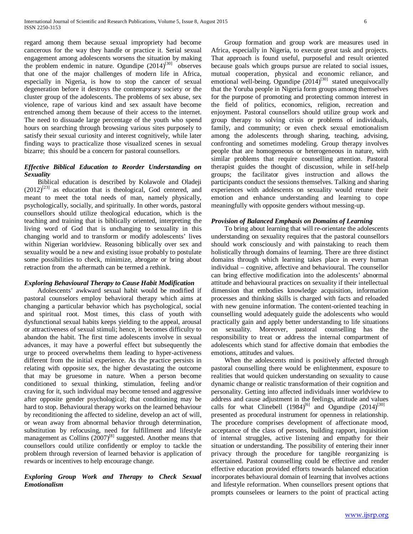regard among them because sexual impropriety had become cancerous for the way they handle or practice it. Serial sexual engagement among adolescents worsens the situation by making the problem endemic in nature. Ogundipe  $(2014)^{[30]}$  observes that one of the major challenges of modern life in Africa, especially in Nigeria, is how to stop the cancer of sexual degeneration before it destroys the contemporary society or the cluster group of the adolescents. The problems of sex abuse, sex violence, rape of various kind and sex assault have become entrenched among them because of their access to the internet. The need to dissuade large percentage of the youth who spend hours on searching through browsing various sites purposely to satisfy their sexual curiosity and interest cognitively, while later finding ways to practicalize those visualized scenes in sexual bizarre; this should be a concern for pastoral counsellors.

# *Effective Biblical Education to Reorder Understanding on Sexuality*

 Biblical education is described by Kolawole and Oladeji  $(2012)^{[23]}$  as education that is theological, God centered, and meant to meet the total needs of man, namely physically, psychologically, socially, and spiritually. In other words, pastoral counsellors should utilize theological education, which is the teaching and training that is biblically oriented, interpreting the living word of God that is unchanging to sexuality in this changing world and to transform or modify adolescents' lives within Nigerian worldview. Reasoning biblically over sex and sexuality would be a new and existing issue probably to postulate some possibilities to check, minimize, abrogate or bring about retraction from the aftermath can be termed a rethink.

# *Exploring Behavioural Therapy to Cause Habit Modification*

 Adolescents' awkward sexual habit would be modified if pastoral counselors employ behavioral therapy which aims at changing a particular behavior which has psychological, social and spiritual root. Most times, this class of youth with dysfunctional sexual habits keeps yielding to the appeal, arousal or attractiveness of sexual stimuli; hence, it becomes difficulty to abandon the habit. The first time adolescents involve in sexual advances, it may have a powerful effect but subsequently the urge to proceed overwhelms them leading to hyper-activeness different from the initial experience. As the practice persists in relating with opposite sex, the higher devastating the outcome that may be gruesome in nature. When a person become conditioned to sexual thinking, stimulation, feeling and/or craving for it, such individual may become tensed and aggressive after opposite gender psychological; that conditioning may be hard to stop. Behavioural therapy works on the learned behaviour by reconditioning the affected to sideline, develop an act of will, or wean away from abnormal behavior through determination, substitution by refocusing, need for fulfillment and lifestyle management as Collins  $(2007)^{[8]}$  suggested. Another means that counsellors could utilize confidently or employ to tackle the problem through reversion of learned behavior is application of rewards or incentives to help encourage change.

# *Exploring Group Work and Therapy to Check Sexual Emotionalism*

 Group formation and group work are measures used in Africa, especially in Nigeria, to execute great task and projects. That approach is found useful, purposeful and result oriented because goals which groups pursue are related to social issues, mutual cooperation, physical and economic reliance, and emotional well-being. Ogundipe  $(2014)^{[30]}$  stated unequivocally that the Yoruba people in Nigeria form groups among themselves for the purpose of promoting and protecting common interest in the field of politics, economics, religion, recreation and enjoyment. Pastoral counsellors should utilize group work and group therapy to solving crisis or problems of individuals, family, and community; or even check sexual emotionalism among the adolescents through sharing, teaching, advising, confronting and sometimes modeling. Group therapy involves people that are homogeneous or heterogeneous in nature, with similar problems that require counselling attention. Pastoral therapist guides the thought of discussion, while in self-help groups; the facilitator gives instruction and allows the participants conduct the sessions themselves. Talking and sharing experiences with adolescents on sexuality would retune their emotion and enhance understanding and learning to cope meaningfully with opposite genders without messing-up.

# *Provision of Balanced Emphasis on Domains of Learning*

 To bring about learning that will re-orientate the adolescents understanding on sexuality requires that the pastoral counsellors should work consciously and with painstaking to reach them holistically through domains of learning. There are three distinct domains through which learning takes place in every human individual – cognitive, affective and behavioural. The counsellor can bring effective modification into the adolescents' abnormal attitude and behavioural practices on sexuality if their intellectual dimension that embodies knowledge acquisition, information processes and thinking skills is charged with facts and reloaded with new genuine information. The content-oriented teaching in counselling would adequately guide the adolescents who would practically gain and apply better understanding to life situations on sexuality. Moreover, pastoral counselling has the responsibility to treat or address the internal compartment of adolescents which stand for affective domain that embodies the emotions, attitudes and values.

 When the adolescents mind is positively affected through pastoral counselling there would be enlightenment, exposure to realities that would quicken understanding on sexuality to cause dynamic change or realistic transformation of their cognition and personality. Getting into affected individuals inner worldview to address and cause adjustment in the feelings, attitude and values calls for what Clinebell  $(1984)^{6}$  and Ogundipe  $(2014)^{[30]}$ presented as procedural instrument for openness in relationship. The procedure comprises development of affectionate mood, acceptance of the class of persons, building rapport, inquisition of internal struggles, active listening and empathy for their situation or understanding. The possibility of entering their inner privacy through the procedure for tangible reorganizing is ascertained. Pastoral counselling could be effective and render effective education provided efforts towards balanced education incorporates behavioural domain of learning that involves actions and lifestyle reformation. When counsellors present options that prompts counselees or learners to the point of practical acting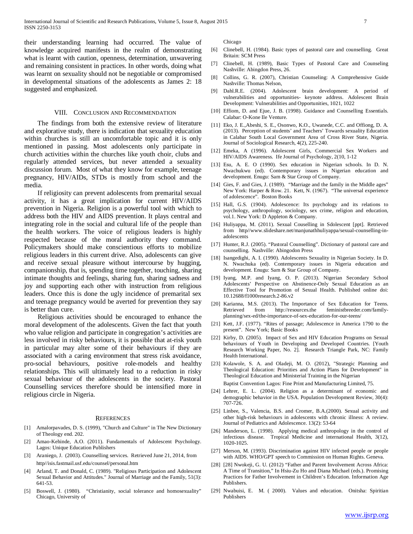their understanding learning had occurred. The value of knowledge acquired manifests in the realm of demonstrating what is learnt with caution, openness, determination, unwavering and remaining consistent in practices. In other words, doing what was learnt on sexuality should not be negotiable or compromised in developmental situations of the adolescents as James 2: 18 suggested and emphasized.

### VIII. CONCLUSION AND RECOMMENDATION

 The findings from both the extensive review of literature and explorative study, there is indication that sexuality education within churches is still an uncomfortable topic and it is only mentioned in passing. Most adolescents only participate in church activities within the churches like youth choir, clubs and regularly attended services, but never attended a sexuality discussion forum. Most of what they know for example, teenage pregnancy, HIV/AIDs, STDs is mostly from school and the media.

 If religiosity can prevent adolescents from premarital sexual activity, it has a great implication for current HIV/AIDS prevention in Nigeria. Religion is a powerful tool with which to address both the HIV and AIDS prevention. It plays central and integrating role in the social and cultural life of the people than the health workers. The voice of religious leaders is highly respected because of the moral authority they command. Policymakers should make conscientious efforts to mobilize religious leaders in this current drive. Also, adolescents can give and receive sexual pleasure without intercourse by hugging, companionship, that is, spending time together, touching, sharing intimate thoughts and feelings, sharing fun, sharing sadness and joy and supporting each other with instruction from religious leaders. Once this is done the ugly incidence of premarital sex and teenage pregnancy would be averted for prevention they say is better than cure.

 Religious activities should be encouraged to enhance the moral development of the adolescents. Given the fact that youth who value religion and participate in congregation's activities are less involved in risky behaviours, it is possible that at-risk youth in particular may alter some of their behaviours if they are associated with a caring environment that stress risk avoidance, pro-social behaviours, positive role-models and healthy relationships. This will ultimately lead to a reduction in risky sexual behaviour of the adolescents in the society. Pastoral Counselling services therefore should be intensified more in religious circle in Nigeria.

#### **REFERENCES**

- [1] Amalorpavades, D. S. (1999), "Church and Culture" in The New Dictionary of Theology end. 202.
- [2] Amao-Kehinde, A.O. (2011). Fundamentals of Adolescent Psychology. Lagos: Unique Education Publishers
- [3] Araniego, J. (2003). Counselling services. Retrieved June 21, 2014, from http//isis.fastmail.usf.edu/counsel/personal.htm
- [4] Arland, T. and Donald, C. (1989). "Religious Participation and Adolescent Sexual Behavior and Attitudes." Journal of Marriage and the Family, 51(3): 641-53.
- [5] Boswell, J. (1980). "Christianity, social tolerance and homosexuality" Chicago, University of

Chicago

- [6] Clinebell, H. (1984). Basic types of pastoral care and counselling. Great Britain: SCM Press
- [7] Clinebell, H. (1989), Basic Types of Pastoral Care and Counseling Nashville: Abingdon Press, 26.
- [8] Collins, G. R. (2007), Christian Counseling: A Comprehensive Guide Nashville: Thomas Nelson,
- [9] Dahl.R.E. (2004). Adolescent brain development: A period of vulnerabilities and opportunities- keynote address. Adolescent Brain Development: Vulnerabilities and Opportunities, 1021, 1022
- [10] Effiom, D. and Ejue, J. B. (1998). Guidance and Counselling Essentials. Calabar: O-Kone Ile Venture.
- [11] Eko, J. E.,Abeshi, S. E., Osonwo, K.O., Uwanede, C.C. and Offiong, D. A. (2013). Perception of students' and Teachers' Towards sexuality Education in Calabar South Local Government Area of Cross River State, Nigeria. Journal of Sociological Research, 4(2), 225-240.
- [12] Emeka, A (1996). Adolescent Girls, Commercial Sex Workers and HIV/AIDS Awareness. Ife Journal of Psychology, 2(10, 1-12
- [13] Esu, A. E. O (1990). Sex education in Nigerian schools. In D. N. Nwachukwu (ed). Contemporary issues in Nigerian education and development. Enugu: Sam & Star Group of Company.
- [14] Gies, F. and Gies, J. (1989). "Marriage and the family in the Middle ages" New York: Harper & Row. 21. Kett, N. (1967). "The universal experience of adolescence". Boston Books
- [15] Hall, G.S. (1904). Adolescence: Its psychology and its relations to psychology, anthropology, sociology, sex crime, religion and education, vol.1. New York: D Appleton & Company.
- [16] Huliyappa, M. (2011). Sexual Couselling in Sdolescent [ppt]. Retrieved from http//www.slideshare.net/manjunathhuliyappa/sexual-counselling-inadolescents
- [17] Hunter, R.J. (2005). "Pastoral Counselling". Dictionary of pastoral care and counselling. Nashville: Abingodon Press
- [18] Isangedighi, A. I. (1990). Adolescents Sexuality in Nigerian Society. In D. N. Nwachuka (ed). Contemporary issues in Nigeria education and development. Enugu: Sam & Star Group of Company.
- [19] Iyang, M.P. and Iyang, O. P. (2013). Nigerian Secondary School Adolescents' Perspective on Abstinence-Only Sexual Education as an Effective Tool for Promotion of Sexual Health. Published online doi: 10.12688/f1000research.2-86.v2
- [20] Karianna, M.S. (2013). The Importance of Sex Education for Teens.<br>Retrieved from http://resources.the feministbreeder.com/familyfeministbreeder.com/familyplanning/sex-ed/the-importance-of-sex-education-for-our-teens/
- [21] Kett, J.F. (1977). "Rites of passage; Adolescence in America 1790 to the present". New York; Basic Books
- [22] Kirby, D. (2005). Impact of Sex and HIV Education Programs on Sexual behaviours of Youth in Developing and Developed Countries. [Youth Research Working Paper, No. 2]. Research Triangle Park, NC: Family Health International.
- [23] Kolawole, S. A. and Oladeji, M. O. (2012), "Strategic Planning and Theological Education: Priorities and Action Plans for Development" in Theological Education and Ministerial Training in the Nigerian Baptist Convention Lagos: Fine Print and Manufacturing Limited, 75.
- [24] Lehrer, E. L. (2004). Religion as a determinant of economic and demographic behavior in the USA. Population Development Review, 30(4): 707-726.
- [25] Linbee, S., Valencia, B.S. and Cromer, B.A.(2000). Sexual activity and other high-risk behaviours in adolescents with chronic illness: A review. Journal of Pediatrics and Adolescence. 13(2): 53-64
- [26] Manderson, L. (1998). Applying medical anthropology in the control of infectious disease. Tropical Medicine and international Health, 3(12), 1020-1025.
- [27] Merson, M. (1993). Discrimination against HIV infected people or people with AIDS. WHO/GPT speech to Commission on Human Rights. Geneva.
- [28] [28] Nwokeji, G. U. (2012) "Father and Parent Involvement Across Africa: A Time of Transition," In Hsiu-Zu Ho and Diana Michael (eds.). Promising Practices for Father Involvement in Children's Education. Information Age Publishers.
- [29] Nwabuisi, E. M. ( 2000). Values and education. Onitsha: Spiritian Publishers